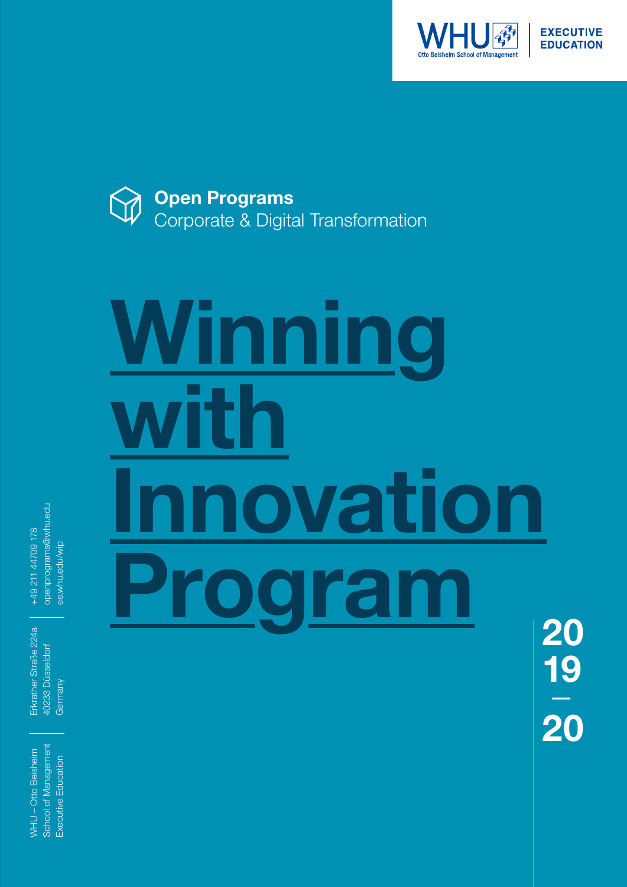



# **Winning with Innovation Program**

openprograms@whu.edu openprograms@whu.edu +49 211 44709 178 +49 211 44709 178 ee.whu.edu/wip ee.whu.edu/wip

Erkrather Straße 224a Erkrather Straße 224a 40233 Düsseldorf 40233 Düsseldorf Germany

School of Management School of Management WHU-Otto Beisheim WHU – Otto Beisheim Executive Education Executive Education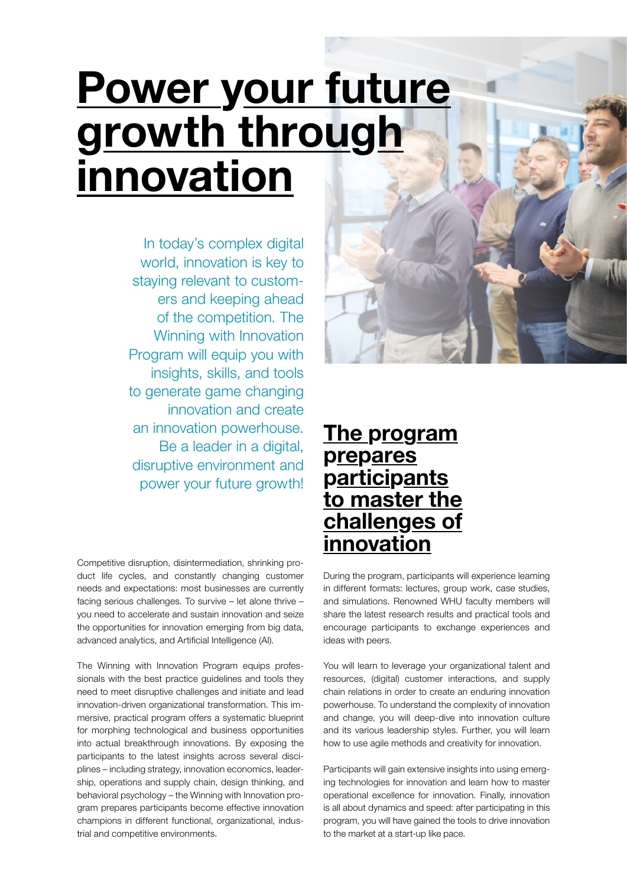# **Power your future growth through innovation**

In today's complex digital world, innovation is key to staying relevant to customers and keeping ahead of the competition. The Winning with Innovation Program will equip you with insights, skills, and tools to generate game changing innovation and create an innovation powerhouse. Be a leader in a digital, disruptive environment and power your future growth!

Competitive disruption, disintermediation, shrinking product life cycles, and constantly changing customer needs and expectations: most businesses are currently facing serious challenges. To survive – let alone thrive – you need to accelerate and sustain innovation and seize the opportunities for innovation emerging from big data, advanced analytics, and Artificial Intelligence (AI).

The Winning with Innovation Program equips professionals with the best practice guidelines and tools they need to meet disruptive challenges and initiate and lead innovation-driven organizational transformation. This immersive, practical program offers a systematic blueprint for morphing technological and business opportunities into actual breakthrough innovations. By exposing the participants to the latest insights across several disciplines – including strategy, innovation economics, leadership, operations and supply chain, design thinking, and behavioral psychology – the Winning with Innovation program prepares participants become effective innovation champions in different functional, organizational, industrial and competitive environments.

#### **The program prepares participants to master the challenges of innovation**

During the program, participants will experience learning in different formats: lectures, group work, case studies, and simulations. Renowned WHU faculty members will share the latest research results and practical tools and encourage participants to exchange experiences and ideas with peers.

You will learn to leverage your organizational talent and resources, (digital) customer interactions, and supply chain relations in order to create an enduring innovation powerhouse. To understand the complexity of innovation and change, you will deep-dive into innovation culture and its various leadership styles. Further, you will learn how to use agile methods and creativity for innovation.

Participants will gain extensive insights into using emerging technologies for innovation and learn how to master operational excellence for innovation. Finally, innovation is all about dynamics and speed: after participating in this program, you will have gained the tools to drive innovation to the market at a start-up like pace.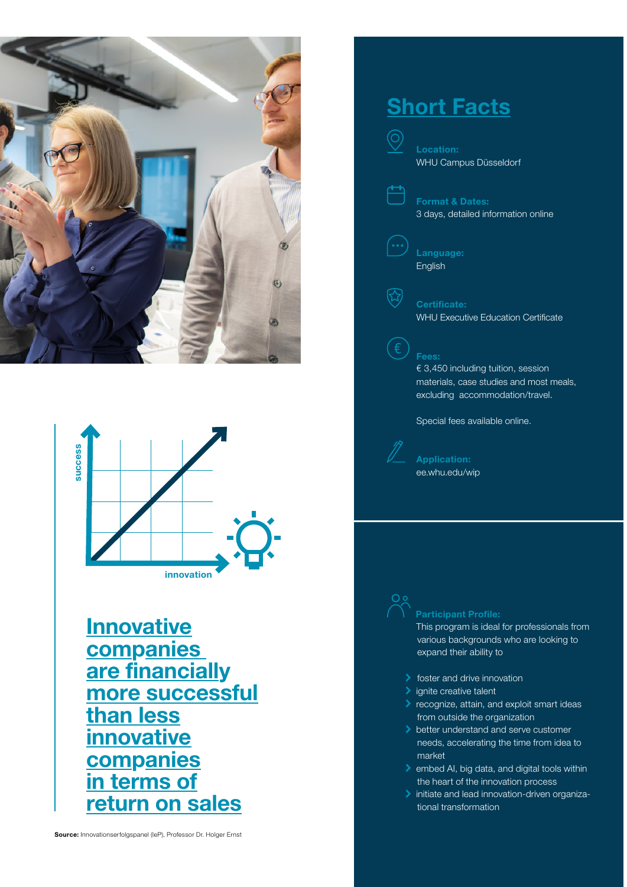



**Innovative companies are financially more successful than less innovative companies in terms of return on sales**

#### **Short Facts**

⊙)

氐



**Format & Dates:** 3 days, detailed information online

**Language:** English

#### **Certificate:** WHU Executive Education Certificate

**Fees:**

€ 3,450 including tuition, session materials, case studies and most meals, excluding accommodation/travel.

Special fees available online.

**Application:** ee.whu.edu/wip

#### **Participant Profile:**

This program is ideal for professionals from various backgrounds who are looking to expand their ability to

- $\blacktriangleright$  foster and drive innovation
- $\blacktriangleright$  ignite creative talent
- **>** recognize, attain, and exploit smart ideas from outside the organization
- better understand and serve customer needs, accelerating the time from idea to market
- $\ge$  embed AI, big data, and digital tools within the heart of the innovation process
- Initiate and lead innovation-driven organizational transformation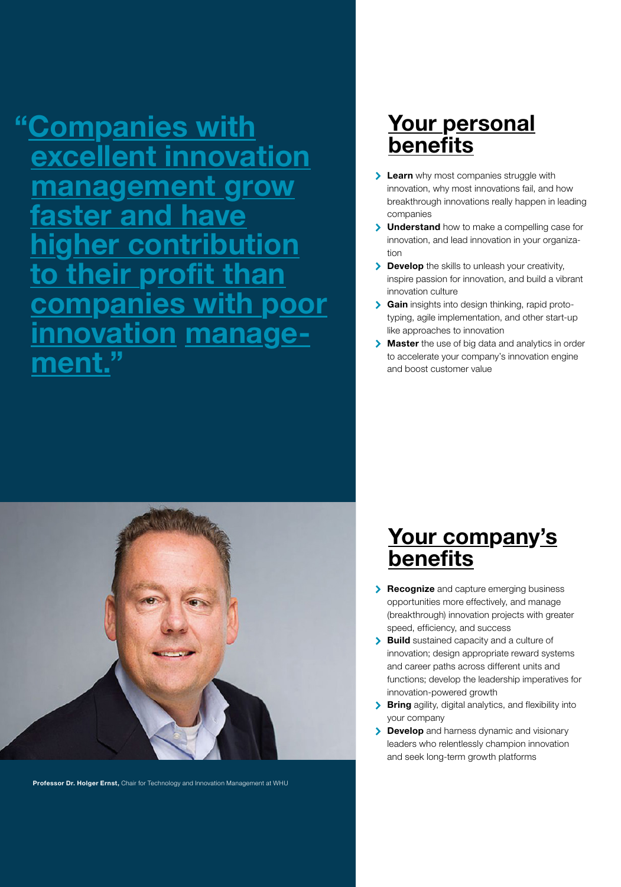**"Companies with excellent innovation management grow ter and higher contribution their profit than companies with poor innovation manage- ment."**



**Professor Dr. Holger Ernst,** Chair for Technology and Innovation Management at WHU

# **Your personal benefits**

- **Learn** why most companies struggle with innovation, why most innovations fail, and how breakthrough innovations really happen in leading companies
- **Understand** how to make a compelling case for innovation, and lead innovation in your organization
- **Develop** the skills to unleash your creativity, inspire passion for innovation, and build a vibrant innovation culture
- **Gain** insights into design thinking, rapid prototyping, agile implementation, and other start-up like approaches to innovation
- **Master** the use of big data and analytics in order to accelerate your company's innovation engine and boost customer value

## **Your company's benefits**

- **Recognize** and capture emerging business opportunities more effectively, and manage (breakthrough) innovation projects with greater speed, efficiency, and success
- **Build** sustained capacity and a culture of innovation; design appropriate reward systems and career paths across different units and functions; develop the leadership imperatives for innovation-powered growth
- **Bring** agility, digital analytics, and flexibility into your company
- **Develop** and harness dynamic and visionary leaders who relentlessly champion innovation and seek long-term growth platforms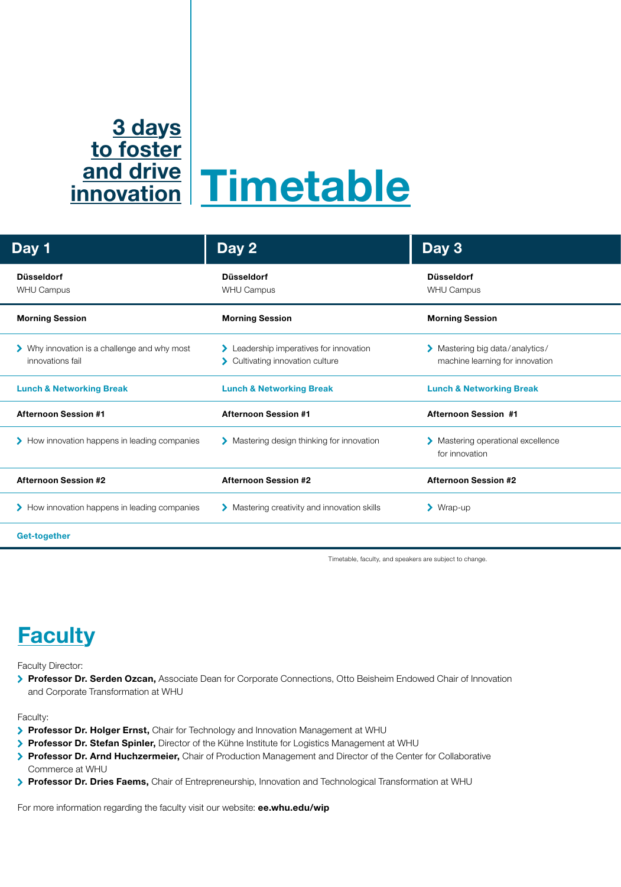## **Timetable and drive 3 days to foster innovation**

| Day 1                                                            | Day 2                                                                       | Day 3                                                              |
|------------------------------------------------------------------|-----------------------------------------------------------------------------|--------------------------------------------------------------------|
| <b>Düsseldorf</b><br>WHU Campus                                  | <b>Düsseldorf</b><br><b>WHU Campus</b>                                      | <b>Düsseldorf</b><br><b>WHU Campus</b>                             |
| <b>Morning Session</b>                                           | <b>Morning Session</b>                                                      | <b>Morning Session</b>                                             |
| > Why innovation is a challenge and why most<br>innovations fail | > Leadership imperatives for innovation<br>> Cultivating innovation culture | > Mastering big data/analytics/<br>machine learning for innovation |
| <b>Lunch &amp; Networking Break</b>                              | <b>Lunch &amp; Networking Break</b>                                         | <b>Lunch &amp; Networking Break</b>                                |
| <b>Afternoon Session #1</b>                                      | <b>Afternoon Session #1</b>                                                 | <b>Afternoon Session #1</b>                                        |
| > How innovation happens in leading companies                    | > Mastering design thinking for innovation                                  | Mastering operational excellence<br>for innovation                 |
| <b>Afternoon Session #2</b>                                      | <b>Afternoon Session #2</b>                                                 | <b>Afternoon Session #2</b>                                        |
| > How innovation happens in leading companies                    | > Mastering creativity and innovation skills                                | $\blacktriangleright$ Wrap-up                                      |
| Get-together                                                     |                                                                             |                                                                    |

Timetable, faculty, and speakers are subject to change.

## **Faculty**

Faculty Director:

**Professor Dr. Serden Ozcan,** Associate Dean for Corporate Connections, Otto Beisheim Endowed Chair of Innovation and Corporate Transformation at WHU

Faculty:

- **Professor Dr. Holger Ernst,** Chair for Technology and Innovation Management at WHU
- **Professor Dr. Stefan Spinler,** Director of the Kühne Institute for Logistics Management at WHU
- **Professor Dr. Arnd Huchzermeier,** Chair of Production Management and Director of the Center for Collaborative Commerce at WHU
- **Professor Dr. Dries Faems,** Chair of Entrepreneurship, Innovation and Technological Transformation at WHU

For more information regarding the faculty visit our website: **ee.whu.edu/wip**